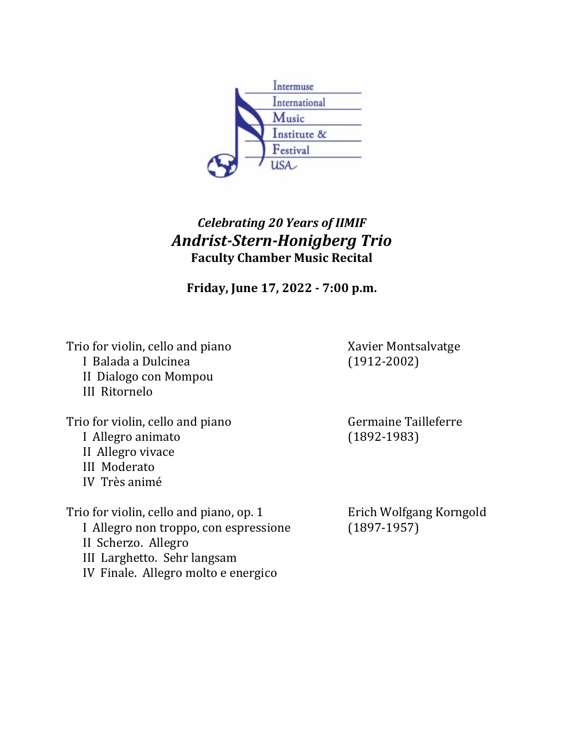

## *Celebrating 20 Years of IIMIF Andrist-Stern-Honigberg Trio* **Faculty Chamber Music Recital**

**Friday, June 17, 2022 - 7:00 p.m.**

Trio for violin, cello and piano<br>
I Balada a Dulcinea<br>
(1912-2002) I Balada a Dulcinea II Dialogo con Mompou III Ritornelo

Trio for violin, cello and piano<br>
I Allegro animato<br>
(1892-1983) I Allegro animato II Allegro vivace III Moderato IV Très animé

Trio for violin, cello and piano, op. 1 Erich Wolfgang Korngold<br>
I Allegro non troppo, con espressione (1897-1957) I Allegro non troppo, con espressione II Scherzo. Allegro III Larghetto. Sehr langsam IV Finale. Allegro molto e energico